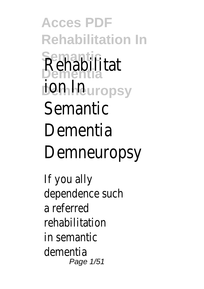**Acces PDF Rehabilitation In Semantic Dementia** Rehabilitat **ion In**europsy **Semantic** Dementia Demneuropsy

If you ally dependence such a referred rehabilitation in semantic dementia Page 1/51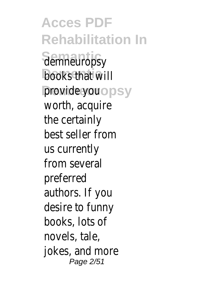**Acces PDF Rehabilitation In Semantic** demneuropsy books that will provide your opsy worth, acquire the certainly best seller from us currently from several preferred authors. If you desire to funny books, lots of novels, tale, jokes, and more Page 2/51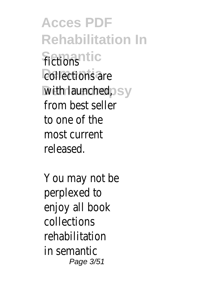**Acces PDF Rehabilitation In Semantic** fictions collections are with launched, psy from best seller to one of the most current released.

You may not be perplexed to enjoy all book collections rehabilitation in semantic Page 3/51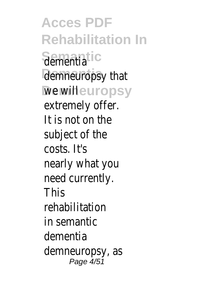**Acces PDF Rehabilitation In Semantic** dementia demneuropsy that we wilheuropsy extremely offer. It is not on the subject of the costs. It's nearly what you need currently. **This** rehabilitation in semantic dementia demneuropsy, as Page 4/51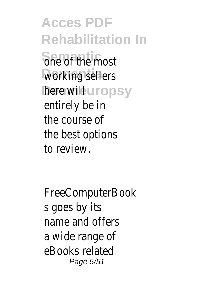**Acces PDF Rehabilitation In Semantic** one of the most working sellers **here wille uropsy** entirely be in the course of the best options to review.

FreeComputerBook s goes by its name and offers a wide range of eBooks related Page 5/51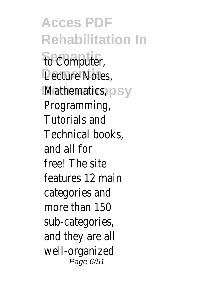**Acces PDF Rehabilitation In Semantic** to Computer, Lecture Notes, **Mathematics**, psy Programming, Tutorials and Technical books, and all for free! The site features 12 main categories and more than 150 sub-categories, and they are all well-organized Page 6/51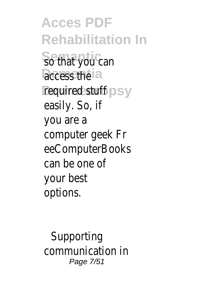**Acces PDF Rehabilitation In** So that you can access the a required stuff psy easily. So, if you are a computer geek Fr eeComputerBooks can be one of your best options.

Supporting communication in Page 7/51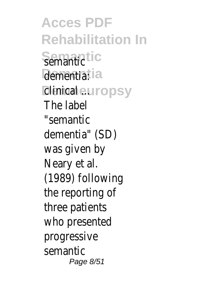**Acces PDF Rehabilitation In Semantic** semantic dementia: la **Dinicaheuropsy** The label "semantic dementia" (SD) was given by Neary et al. (1989) following the reporting of three patients who presented progressive semantic Page 8/51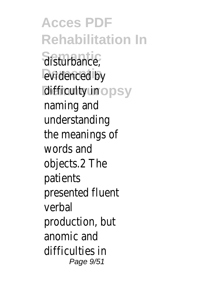**Acces PDF Rehabilitation In Semantic** disturbance, evidenced by **difficulty** in ropsy naming and understanding the meanings of words and objects.2 The patients presented fluent verbal production, but anomic and difficulties in Page 9/51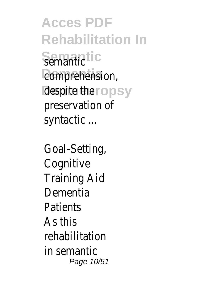**Acces PDF Rehabilitation In Semantic** semantic comprehension, despite theropsy preservation of syntactic ...

Goal-Setting, **Cognitive** Training Aid Dementia **Patients** As this rehabilitation in semantic Page 10/51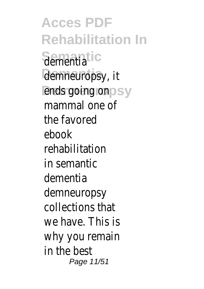**Acces PDF Rehabilitation In Semantic** dementia demneuropsy, it ends going on psy mammal one of the favored ebook rehabilitation in semantic dementia demneuropsy collections that we have. This is why you remain in the best Page 11/51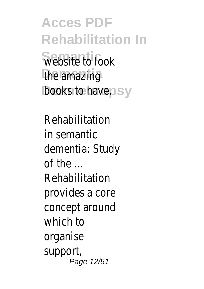**Acces PDF Rehabilitation In Semantic** website to look the amazing books to have.psy

Rehabilitation in semantic dementia: Study of the ... Rehabilitation provides a core concept around which to organise support, Page 12/51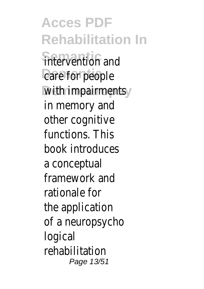**Acces PDF Rehabilitation In** intervention and care for people with impairments y in memory and other cognitive functions. This book introduces a conceptual framework and rationale for the application of a neuropsycho logical rehabilitation Page 13/51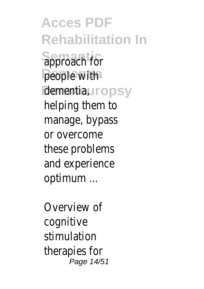**Acces PDF Rehabilitation In Semantic** approach for people with dementia, uropsy helping them to manage, bypass or overcome these problems and experience optimum ...

Overview of cognitive stimulation therapies for Page 14/51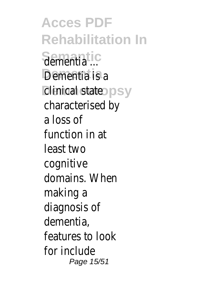**Acces PDF Rehabilitation In Semantic** dementia ... **Dementia** Dementia is a *dinical stateopsy* characterised by a loss of function in at least two cognitive domains. When making a diagnosis of dementia, features to look for include Page 15/51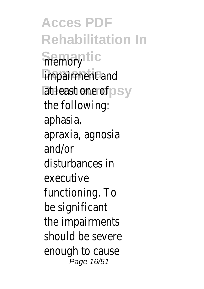**Acces PDF Rehabilitation In Semantic** impairment and at least one of psy the following: aphasia, apraxia, agnosia and/or disturbances in executive functioning. To be significant the impairments should be severe enough to cause Page 16/51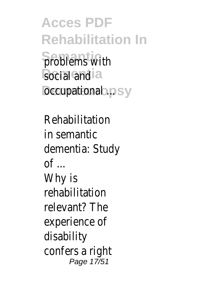**Acces PDF Rehabilitation In Semantice** Sproblems with social and **a Decupational ...**psy

Rehabilitation in semantic dementia: Study  $\mathsf{d}$ Why is rehabilitation relevant? The experience of disability confers a right Page 17/51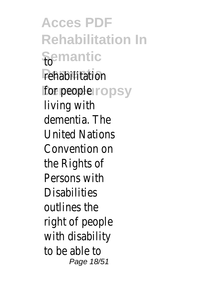**Acces PDF Rehabilitation In Semantic** to rehabilitation **for people** *ropsy* living with dementia. The United Nations Convention on the Rights of Persons with **Disabilities** outlines the right of people with disability to be able to Page 18/51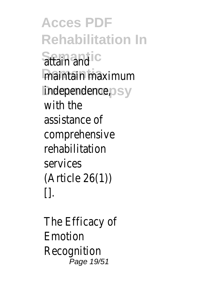**Acces PDF Rehabilitation In Semantic** attain and maintain maximum **Independence, psy** with the assistance of comprehensive rehabilitation services (Article 26(1))  $\prod$ 

The Efficacy of Emotion Recognition Page 19/51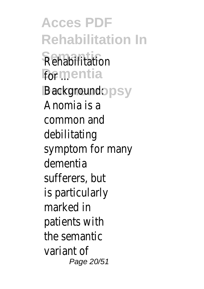**Acces PDF Rehabilitation In Rehabilitation Formentia** Background: opsy Anomia is a common and debilitating symptom for many dementia sufferers, but is particularly marked in patients with the semantic variant of Page 20/51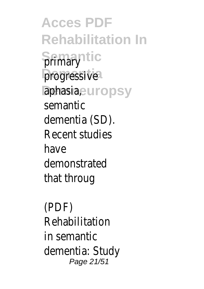**Acces PDF Rehabilitation In Semantic progressive** aphasia,europsy semantic dementia (SD). Recent studies have demonstrated that throug

(PDF) Rehabilitation in semantic dementia: Study Page 21/51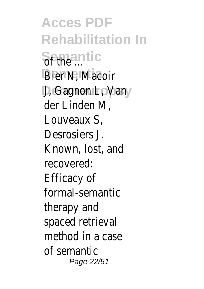**Acces PDF Rehabilitation In** Semantic **Bier N, Macoir D, Gagnon L, Vansy** der Linden M, Louveaux S, Desrosiers J. Known, lost, and recovered: Efficacy of formal-semantic therapy and spaced retrieval method in a case of semantic Page 22/51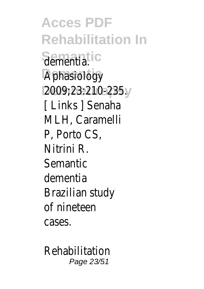**Acces PDF Rehabilitation In Semantic** dementia. Aphasiology<sup>®</sup> **Demneuropsy** 2009;23:210-235. [ Links ] Senaha MLH, Caramelli P, Porto CS, Nitrini R. Semantic dementia Brazilian study of nineteen cases.

Rehabilitation Page 23/51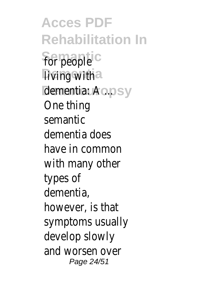**Acces PDF Rehabilitation In Semantic** for people living with la dementia: A ... psy One thing semantic dementia does have in common with many other types of dementia, however, is that symptoms usually develop slowly and worsen over Page 24/51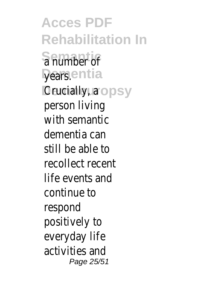**Acces PDF Rehabilitation In Semantic** a number of years.entia **Crucially, aropsy** person living with semantic dementia can still be able to recollect recent life events and continue to respond positively to everyday life activities and Page 25/51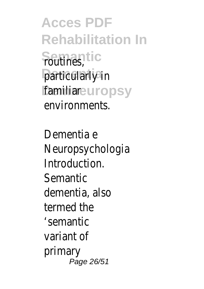**Acces PDF Rehabilitation In Semantic** routines, particularly in **familianeuropsy** environments.

Dementia e Neuropsychologia Introduction. Semantic dementia, also termed the 'semantic variant of primary Page 26/51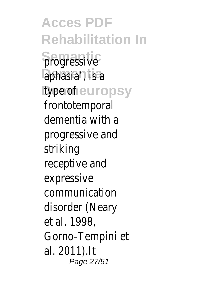**Acces PDF Rehabilitation In S**progressive<sup>C</sup> aphasia', is a **Itype of europsy** frontotemporal dementia with a progressive and striking receptive and expressive communication disorder (Neary et al. 1998, Gorno-Tempini et al. 2011).It Page 27/51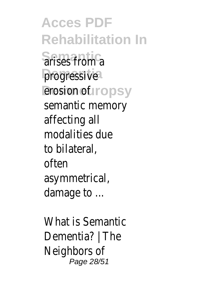**Acces PDF Rehabilitation In Semantic** arises from a progressive<sup>1</sup> erosion of uropsy semantic memory affecting all modalities due to bilateral, often asymmetrical, damage to ...

What is Semantic Dementia? | The Neighbors of Page 28/51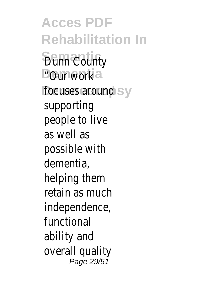**Acces PDF Rehabilitation In Bunn County** "Our work ia focuses around sy supporting people to live as well as possible with dementia, helping them retain as much independence, functional ability and overall quality Page 29/51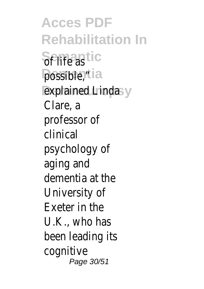**Acces PDF Rehabilitation In Semantic** of life as possible,<sup>"tia</sup> **explained Linda** sy Clare, a professor of clinical psychology of aging and dementia at the University of Exeter in the U.K., who has been leading its cognitive Page 30/51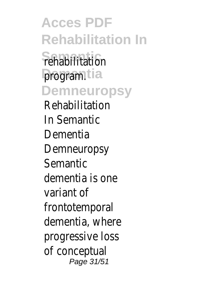**Acces PDF Rehabilitation In Fehabilitation** program<sup>tia</sup> **Demneuropsy** Rehabilitation In Semantic Dementia Demneuropsy Semantic dementia is one variant of frontotemporal dementia, where progressive loss of conceptual Page 31/51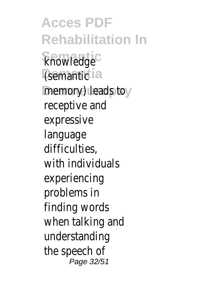**Acces PDF Rehabilitation In Semantic** knowledge (semantic<sup>1</sup>a memory) leads to y receptive and expressive language difficulties, with individuals experiencing problems in finding words when talking and understanding the speech of Page 32/51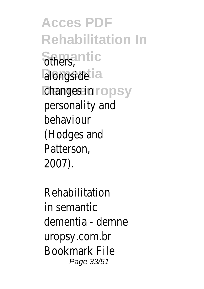**Acces PDF Rehabilitation In Semantic** others, alongsidetia **changes in ropsy** personality and behaviour (Hodges and Patterson, 2007).

Rehabilitation in semantic dementia - demne uropsy.com.br Bookmark File Page 33/51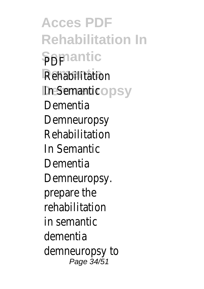**Acces PDF Rehabilitation In Semantic Rehabilitation** In Semantic<sup>o</sup>psy Dementia Demneuropsy Rehabilitation In Semantic **Dementia** Demneuropsy. prepare the rehabilitation in semantic dementia demneuropsy to Page 34/51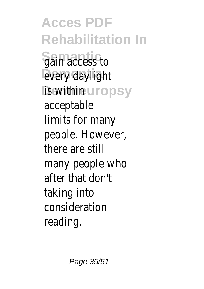**Acces PDF Rehabilitation In Sain access to** every daylight **is withing uropsy** acceptable limits for many people. However, there are still many people who after that don't taking into consideration reading.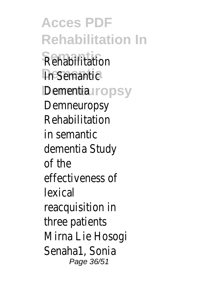**Acces PDF Rehabilitation In Rehabilitation In Semantic** Dementiauropsy Demneuropsy Rehabilitation in semantic dementia Study of the effectiveness of lexical reacquisition in three patients Mirna Lie Hosogi Senaha1, Sonia Page 36/51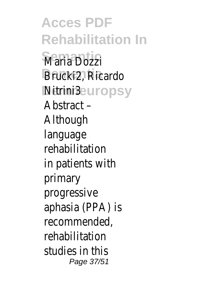**Acces PDF Rehabilitation In Maria Dozzi Dementia** Brucki2, Ricardo **Nitrini3**europsy Abstract – Although language rehabilitation in patients with primary progressive aphasia (PPA) is recommended, rehabilitation studies in this Page 37/51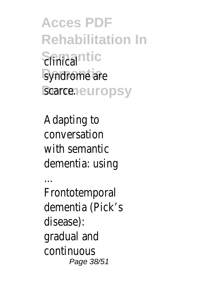**Acces PDF Rehabilitation In** Sinica<sup>ntic</sup> syndrome are scarce.europsy

Adapting to conversation with semantic dementia: using

...

Frontotemporal dementia (Pick's disease): gradual and continuous Page 38/51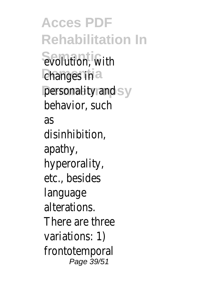**Acces PDF Rehabilitation In Sevolution**, with changes in a personality and sy behavior, such as disinhibition, apathy, hyperorality, etc., besides language alterations. There are three variations: 1) frontotemporal Page 39/51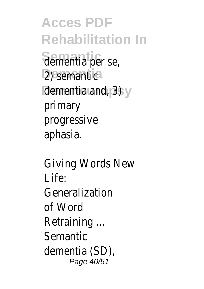**Acces PDF Rehabilitation In Semantic** dementia per se, 2) semantic dementia and, 3) sy primary progressive aphasia.

Giving Words New Life: Generalization of Word Retraining ... Semantic dementia (SD), Page 40/51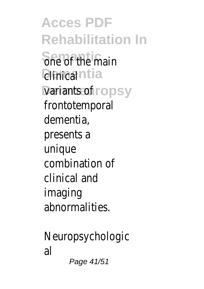**Acces PDF Rehabilitation In She of the main** *<u>Dinical</u>*ntia variants of ropsy frontotemporal dementia, presents a unique combination of clinical and imaging abnormalities.

Neuropsychologic al Page 41/51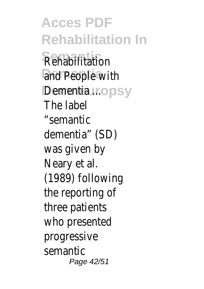**Acces PDF Rehabilitation In Rehabilitation** and People with Dementia uropsy The label "semantic dementia" (SD) was given by Neary et al. (1989) following the reporting of three patients who presented progressive semantic Page 42/51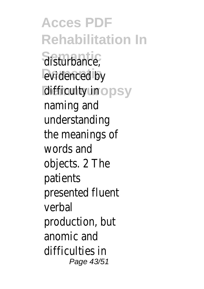**Acces PDF Rehabilitation In Semantic** disturbance, evidenced by **difficulty** in ropsy naming and understanding the meanings of words and objects. 2 The patients presented fluent verbal production, but anomic and difficulties in Page 43/51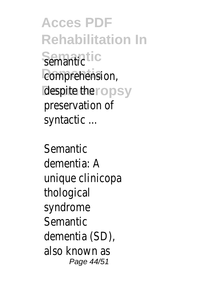**Acces PDF Rehabilitation In Semantic** semantic comprehension, despite theropsy preservation of syntactic ...

Semantic dementia: A unique clinicopa thological syndrome Semantic dementia (SD), also known as Page 44/51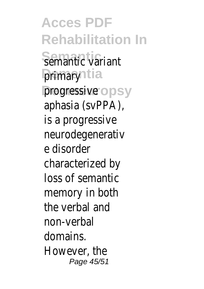**Acces PDF Rehabilitation In Semantic** semantic variant **primaryntia** progressiver opsy aphasia (svPPA), is a progressive neurodegenerativ e disorder characterized by loss of semantic memory in both the verbal and non-verbal domains. However, the Page 45/51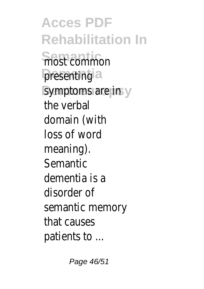**Acces PDF Rehabilitation In Semantic** most common presenting<sup>a</sup> symptoms are in y the verbal domain (with loss of word meaning). Semantic dementia is a disorder of semantic memory that causes patients to ...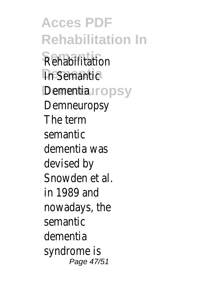**Acces PDF Rehabilitation In Rehabilitation In Semantic** Dementiauropsy Demneuropsy The term semantic dementia was devised by Snowden et al. in 1989 and nowadays, the semantic dementia syndrome is Page 47/51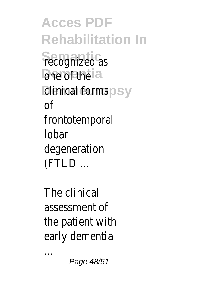**Acces PDF Rehabilitation In Fecognized** as one of the a **Clinical forms** psy of frontotemporal lobar degeneration (FTLD ...

The clinical assessment of the patient with early dementia

...

Page 48/51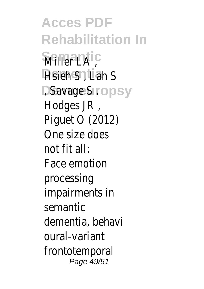**Acces PDF Rehabilitation In Semantic Dementia** Hsieh S , Lah S **Demander State System** Hodges JR , Piguet O (2012) One size does not fit all: Face emotion processing impairments in semantic dementia, behavi oural-variant frontotemporal Page 49/51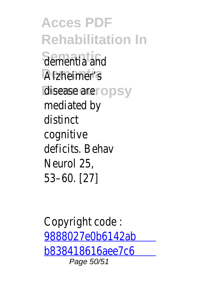**Acces PDF Rehabilitation In Semantic** dementia and Alzheimer's disease are ropsy mediated by distinct cognitive deficits. Behav Neurol 25, 53–60. [27]

Copyright code : [9888027e0b6142ab](/search-book/9888027e0b6142abb838418616aee7c6) [b838418616aee7c6](/search-book/9888027e0b6142abb838418616aee7c6) Page 50/51